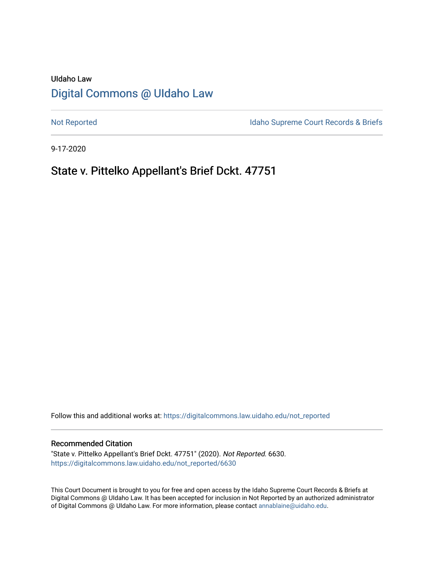# UIdaho Law [Digital Commons @ UIdaho Law](https://digitalcommons.law.uidaho.edu/)

[Not Reported](https://digitalcommons.law.uidaho.edu/not_reported) **Idaho Supreme Court Records & Briefs** 

9-17-2020

# State v. Pittelko Appellant's Brief Dckt. 47751

Follow this and additional works at: [https://digitalcommons.law.uidaho.edu/not\\_reported](https://digitalcommons.law.uidaho.edu/not_reported?utm_source=digitalcommons.law.uidaho.edu%2Fnot_reported%2F6630&utm_medium=PDF&utm_campaign=PDFCoverPages) 

#### Recommended Citation

"State v. Pittelko Appellant's Brief Dckt. 47751" (2020). Not Reported. 6630. [https://digitalcommons.law.uidaho.edu/not\\_reported/6630](https://digitalcommons.law.uidaho.edu/not_reported/6630?utm_source=digitalcommons.law.uidaho.edu%2Fnot_reported%2F6630&utm_medium=PDF&utm_campaign=PDFCoverPages)

This Court Document is brought to you for free and open access by the Idaho Supreme Court Records & Briefs at Digital Commons @ UIdaho Law. It has been accepted for inclusion in Not Reported by an authorized administrator of Digital Commons @ UIdaho Law. For more information, please contact [annablaine@uidaho.edu](mailto:annablaine@uidaho.edu).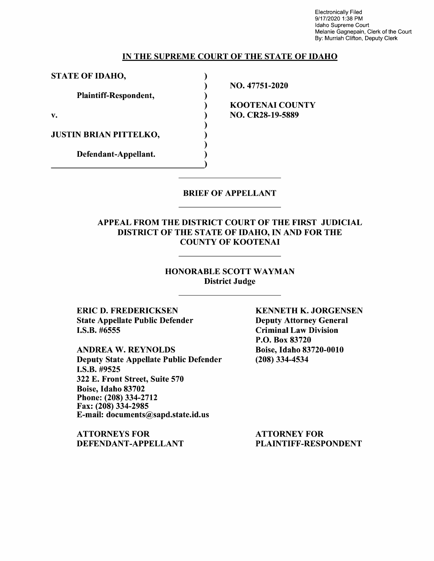Electronically Filed 9/17/2020 1:38 PM Idaho Supreme Court Melanie Gagnepain, Clerk of the Court By: Murriah Clifton, Deputy Clerk

#### **IN THE SUPREME COURT OF THE STATE OF IDAHO**

) ) ) ) ) ) ) )

**STATE OF IDAHO,** )

**Plaintiff-Respondent,** 

**v.** 

**JUSTIN BRIAN PITTELKO,** 

**Defendant-Appellant.** 

NO. 47751-2020

**KOOTENAI COUNTY NO. CR28-19-5889** 

#### BRIEF OF APPELLANT

### APPEAL FROM THE DISTRICT COURT OF THE FIRST JUDICIAL DISTRICT OF THE STATE OF IDAHO, IN AND FOR THE COUNTY OF KOOTENAI

#### HONORABLE SCOTT WAYMAN District Judge

ERIC D. FREDERICKSEN State Appellate Public Defender I.S.B. #6555

ANDREA W. REYNOLDS Deputy State Appellate Public Defender I.S.B. #9525 322 E. Front Street, Suite 570 Boise, Idaho 83702 Phone:(208)334-2712 Fax: (208) 334-2985 E-mail: documents@sapd.state.id.us

ATTORNEYS FOR DEFENDANT-APPELLANT KENNETH K. JORGENSEN Deputy Attorney General Criminal Law Division P.O. Box 83720 Boise, Idaho 83720-0010 (208) 334-4534

ATTORNEY FOR PLAINTIFF-RESPONDENT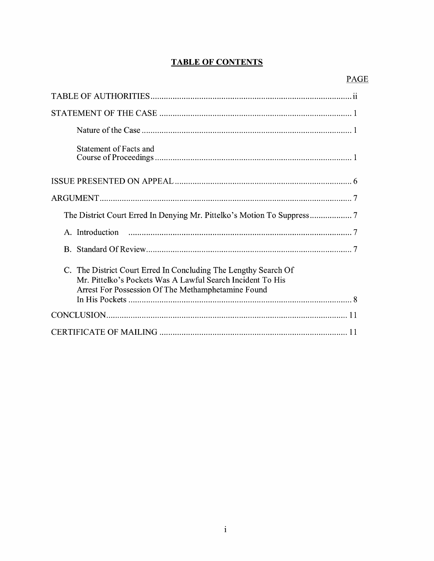# **TABLE OF CONTENTS**

| Statement of Facts and                                                                                                                                                              |
|-------------------------------------------------------------------------------------------------------------------------------------------------------------------------------------|
|                                                                                                                                                                                     |
|                                                                                                                                                                                     |
|                                                                                                                                                                                     |
| A. Introduction                                                                                                                                                                     |
|                                                                                                                                                                                     |
| C. The District Court Erred In Concluding The Lengthy Search Of<br>Mr. Pittelko's Pockets Was A Lawful Search Incident To His<br>Arrest For Possession Of The Methamphetamine Found |
|                                                                                                                                                                                     |
|                                                                                                                                                                                     |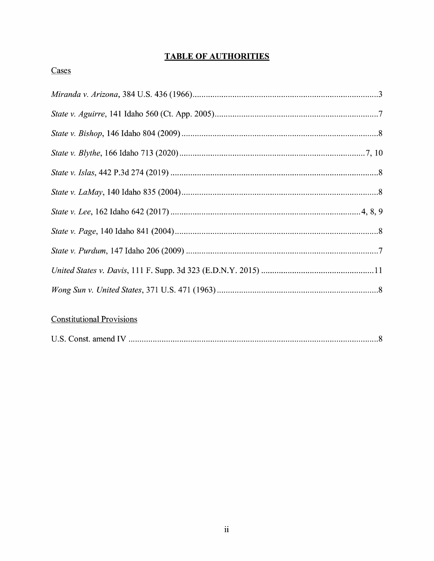# **TABLE OF AUTHORITIES**

### Cases

## **Constitutional Provisions**

| U.S. Const. amend IV |  |
|----------------------|--|
|----------------------|--|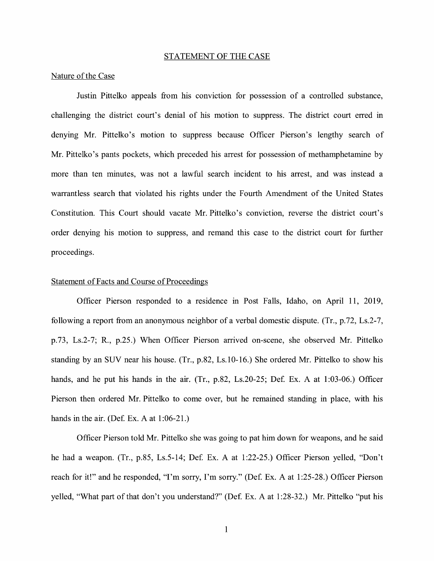#### STATEMENT OF THE CASE

#### Nature of the Case

Justin Pittelko appeals from his conviction for possession of a controlled substance, challenging the district court's denial of his motion to suppress. The district court erred in denying Mr. Pittelko's motion to suppress because Officer Pierson's lengthy search of Mr. Pittelko's pants pockets, which preceded his arrest for possession of methamphetamine by more than ten minutes, was not a lawful search incident to his arrest, and was instead a warrantless search that violated his rights under the Fourth Amendment of the United States Constitution. This Court should vacate Mr. Pittelko's conviction, reverse the district court's order denying his motion to suppress, and remand this case to the district court for further proceedings.

#### Statement of Facts and Course of Proceedings

Officer Pierson responded to a residence m Post Falls, Idaho, on April 11, 2019, following a report from an anonymous neighbor of a verbal domestic dispute. (Tr., p.72, Ls.2-7, p.73, Ls.2-7; R., p.25.) When Officer Pierson arrived on-scene, she observed Mr. Pittelko standing by an SUV near his house. (Tr., p.82, Ls.10-16.) She ordered Mr. Pittelko to show his hands, and he put his hands in the air.  $(Tr, p.82, Ls.20-25; Def. Ex. A at 1:03-06.)$  Officer Pierson then ordered Mr. Pittelko to come over, but he remained standing in place, with his hands in the air. (Def. Ex. A at  $1:06-21$ .)

Officer Pierson told Mr. Pittelko she was going to pat him down for weapons, and he said he had a weapon. (Tr., p.85, Ls.5-14; Def. Ex. A at 1:22-25.) Officer Pierson yelled, "Don't reach for it!" and he responded, "I'm sorry, I'm sorry." (Def. Ex. A at 1:25-28.) Officer Pierson yelled, "What part of that don't you understand?" (Def. Ex. A at 1:28-32.) Mr. Pittelko "put his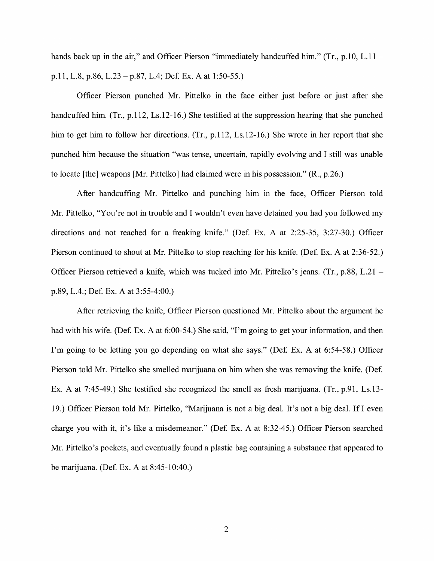hands back up in the air," and Officer Pierson "immediately handcuffed him." (Tr., p.10, L.11 – p.11, L.8, p.86, L.23 – p.87, L.4; Def. Ex. A at 1:50-55.)

Officer Pierson punched Mr. Pittelko in the face either just before or just after she handcuffed him. (Tr., p.112, Ls.12-16.) She testified at the suppression hearing that she punched him to get him to follow her directions. (Tr., p.112, Ls.12-16.) She wrote in her report that she punched him because the situation "was tense, uncertain, rapidly evolving and I still was unable to locate [the] weapons [Mr. Pittelko] had claimed were in his possession." (R., p.26.)

After handcuffing Mr. Pittelko and punching him in the face, Officer Pierson told Mr. Pittelko, "You're not in trouble and I wouldn't even have detained you had you followed my directions and not reached for a freaking knife." (Def. Ex. A at  $2:25-35$ ,  $3:27-30$ .) Officer Pierson continued to shout at Mr. Pittelko to stop reaching for his knife. (Def. Ex. A at 2:36-52.) Officer Pierson retrieved a knife, which was tucked into Mr. Pittelko's jeans. (Tr., p.88, L.21 p.89, L.4.; Def. Ex. A at 3:55-4:00.)

After retrieving the knife, Officer Pierson questioned Mr. Pittelko about the argument he had with his wife. (Def. Ex. A at 6:00-54.) She said, "I'm going to get your information, and then I'm going to be letting you go depending on what she says." (Def. Ex. A at 6:54-58.) Officer Pierson told Mr. Pittelko she smelled marijuana on him when she was removing the knife. (Def Ex. A at 7:45-49.) She testified she recognized the smell as fresh marijuana. (Tr., p.91, Ls.13- 19.) Officer Pierson told Mr. Pittelko, "Marijuana is not a big deal. It's not a big deal. Ifl even charge you with it, it's like a misdemeanor." (Def. Ex. A at 8:32-45.) Officer Pierson searched Mr. Pittelko's pockets, and eventually found a plastic bag containing a substance that appeared to be marijuana. (Def. Ex. A at  $8:45-10:40$ .)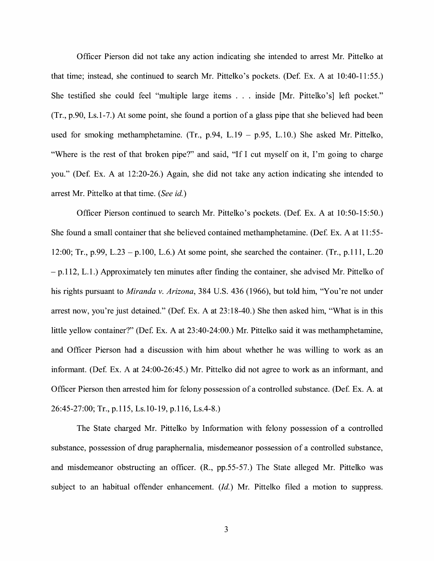Officer Pierson did not take any action indicating she intended to arrest Mr. Pittelko at that time; instead, she continued to search Mr. Pittelko's pockets. (Def. Ex. A at 10:40-11:55.) She testified she could feel "multiple large items ... inside [Mr. Pittelko's] left pocket." (Tr., p.90, Ls.1-7.) At some point, she found a portion ofa glass pipe that she believed had been used for smoking methamphetamine. (Tr., p.94, L.19 - p.95, L.10.) She asked Mr. Pittelko, "Where is the rest of that broken pipe?" and said, "If I cut myself on it, I'm going to charge you." (Def. Ex. A at 12:20-26.) Again, she did not take any action indicating she intended to arrest Mr. Pittelko at that time. *(See* id.)

Officer Pierson continued to search Mr. Pittelko's pockets. (Def. Ex. A at 10:50-15:50.) She found a small container that she believed contained methamphetamine. (Def. Ex. A at 11:55-12:00; Tr., p.99, L.23 - p.100, L.6.) At some point, she searched the container. (Tr., p.111, L.20 - p.112, L.1.) Approximately ten minutes after finding the container, she advised Mr. Pittelko of his rights pursuant to *Miranda v. Arizona,* 384 U.S. 436 (1966), but told him, "You're not under arrest now, you're just detained." (Def. Ex. A at 23:18-40.) She then asked him, "What is in this little yellow container?" (Def. Ex. A at 23:40-24:00.) Mr. Pittelko said it was methamphetamine, and Officer Pierson had a discussion with him about whether he was willing to work as an informant. (Def. Ex. A at 24:00-26:45.) Mr. Pittelko did not agree to work as an informant, and Officer Pierson then arrested him for felony possession of a controlled substance. (Def. Ex. A. at 26:45-27:00; Tr., p.115, Ls.10-19, p.116, Ls.4-8.)

The State charged Mr. Pittelko by Information with felony possession of a controlled substance, possession of drug paraphernalia, misdemeanor possession of a controlled substance, and misdemeanor obstructing an officer. (R., pp.55-57.) The State alleged Mr. Pittelko was subject to an habitual offender enhancement. *(Id.)* Mr. Pittelko filed a motion to suppress.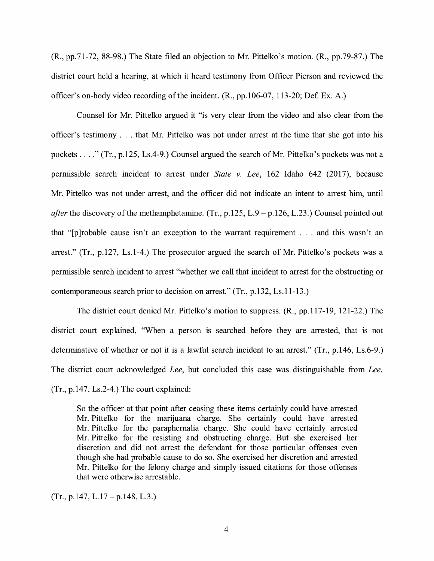(R., pp.71-72, 88-98.) The State filed an objection to Mr. Pittelko's motion. (R., pp.79-87.) The district court held a hearing, at which it heard testimony from Officer Pierson and reviewed the officer's on-body video recording of the incident. (R., pp.106-07, 113-20; Def Ex. A.)

Counsel for Mr. Pittelko argued it "is very clear from the video and also clear from the officer's testimony . . . that Mr. Pittelko was not under arrest at the time that she got into his pockets .... " (Tr., p.125, Ls.4-9.) Counsel argued the search of Mr. Pittelko's pockets was not a permissible search incident to arrest under *State v. Lee,* 162 Idaho 642 (2017), because Mr. Pittelko was not under arrest, and the officer did not indicate an intent to arrest him, until *after* the discovery of the methamphetamine. (Tr., p.125, L.9 – p.126, L.23.) Counsel pointed out that "[p ]robable cause isn't an exception to the warrant requirement . . . and this wasn't an arrest." (Tr., p.127, Ls.1-4.) The prosecutor argued the search of Mr. Pittelko's pockets was a permissible search incident to arrest "whether we call that incident to arrest for the obstructing or contemporaneous search prior to decision on arrest." (Tr., p.132, Ls.11-13.)

The district court denied Mr. Pittelko's motion to suppress. (R., pp.117-19, 121-22.) The district court explained, "When a person is searched before they are arrested, that is not determinative of whether or not it is a lawful search incident to an arrest." (Tr., p.146, Ls.6-9.) The district court acknowledged *Lee,* but concluded this case was distinguishable from *Lee.*  (Tr., p.147, Ls.2-4.) The court explained:

So the officer at that point after ceasing these items certainly could have arrested Mr. Pittelko for the marijuana charge. She certainly could have arrested Mr. Pittelko for the paraphernalia charge. She could have certainly arrested Mr. Pittelko for the resisting and obstructing charge. But she exercised her discretion and did not arrest the defendant for those particular offenses even though she had probable cause to do so. She exercised her discretion and arrested Mr. Pittelko for the felony charge and simply issued citations for those offenses that were otherwise arrestable.

 $(Tr., p.147, L.17 - p.148, L.3.)$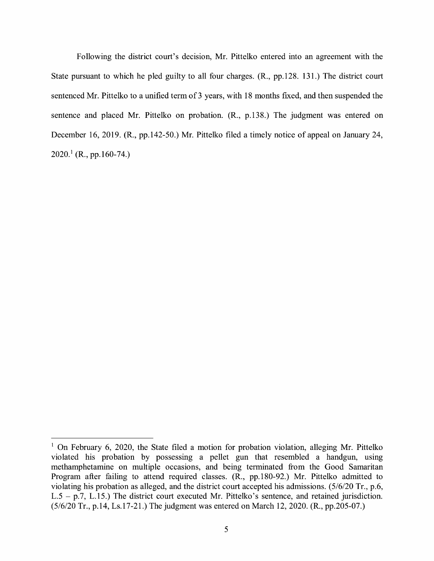Following the district court's decision, Mr. Pittelko entered into an agreement with the State pursuant to which he pied guilty to all four charges. (R., pp.128. 131.) The district court sentenced Mr. Pittelko to a unified term of 3 years, with 18 months fixed, and then suspended the sentence and placed Mr. Pittelko on probation. (R., p.138.) The judgment was entered on December 16, 2019. (R., pp.142-50.) Mr. Pittelko filed a timely notice of appeal on January 24,  $2020<sup>1</sup>$  (R., pp.160-74.)

<sup>&</sup>lt;sup>1</sup> On February 6, 2020, the State filed a motion for probation violation, alleging Mr. Pittelko violated his probation by possessing a pellet gun that resembled a handgun, using methamphetamine on multiple occasions, and being terminated from the Good Samaritan Program after failing to attend required classes. (R., pp.180-92.) Mr. Pittelko admitted to violating his probation as alleged, and the district court accepted his admissions. (5/6/20 Tr., p.6,  $L.5 - p.7$ ,  $L.15$ .) The district court executed Mr. Pittelko's sentence, and retained jurisdiction. (5/6/20 Tr., p.14, Ls.17-21.) The judgment was entered on March 12, 2020. (R., pp.205-07.)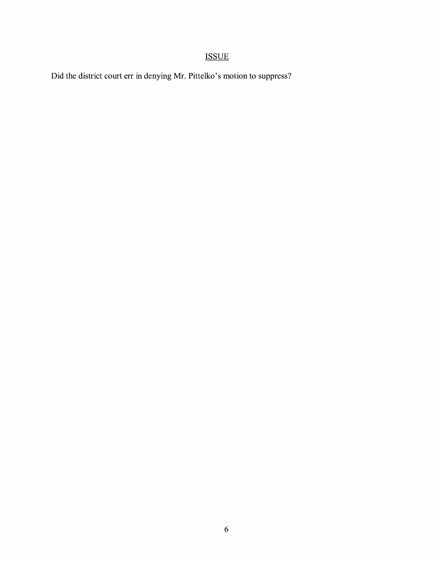# ISSUE

Did the district court err in denying Mr. Pittelko's motion to suppress?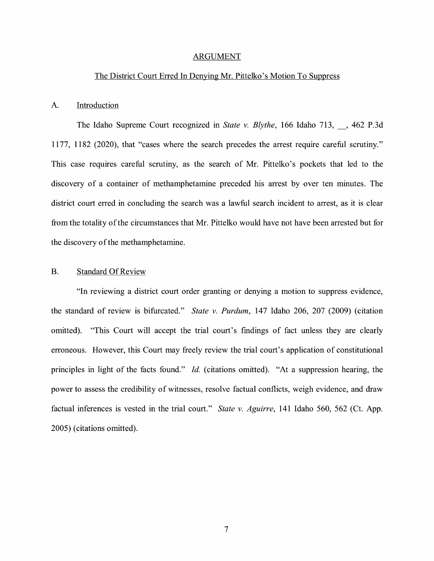#### ARGUMENT

#### The District Court Erred In Denying Mr. Pittelko's Motion To Suppress

#### A. Introduction

The Idaho Supreme Court recognized in *State v. Blythe,* 166 Idaho 713, , 462 P.3d 1177, 1182 (2020), that "cases where the search precedes the arrest require careful scrutiny." This case requires careful scrutiny, as the search of Mr. Pittelko's pockets that led to the discovery of a container of methamphetamine preceded his arrest by over ten minutes. The district court erred in concluding the search was a lawful search incident to arrest, as it is clear from the totality of the circumstances that Mr. Pittelko would have not have been arrested but for the discovery of the methamphetamine.

#### B. Standard Of Review

"In reviewing a district court order granting or denying a motion to suppress evidence, the standard of review is bifurcated." *State v. Purdum*, 147 Idaho 206, 207 (2009) (citation omitted). "This Court will accept the trial court's findings of fact unless they are clearly erroneous. However, this Court may freely review the trial court's application of constitutional principles in light of the facts found." *Id.* (citations omitted). "At a suppression hearing, the power to assess the credibility of witnesses, resolve factual conflicts, weigh evidence, and draw factual inferences is vested in the trial court." *State v. Aguirre,* 141 Idaho 560, 562 (Ct. App. 2005) ( citations omitted).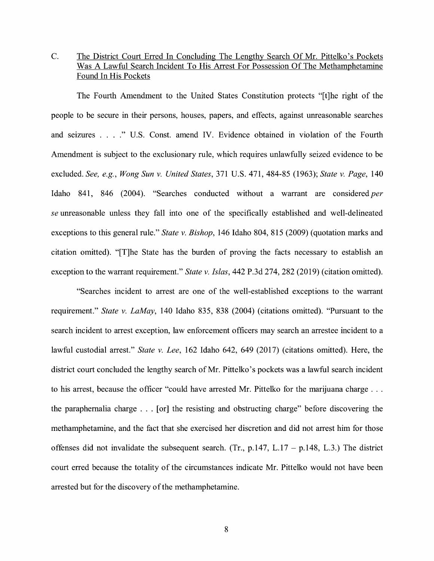C. The District Court Erred In Concluding The Lengthy Search Of Mr. Pittelko's Pockets Was A Lawful Search Incident To His Arrest For Possession Of The Methamphetamine Found In His Pockets

The Fourth Amendment to the United States Constitution protects "[t]he right of the people to be secure in their persons, houses, papers, and effects, against unreasonable searches and seizures .... " U.S. Const. amend IV. Evidence obtained in violation of the Fourth Amendment is subject to the exclusionary rule, which requires unlawfully seized evidence to be excluded. *See, e.g., Wong Sun v. United States,* 371 U.S. 471, 484-85 (1963); *State v. Page,* 140 Idaho 841, 846 (2004). "Searches conducted without a warrant are considered *per se* unreasonable unless they fall into one of the specifically established and well-delineated exceptions to this general rule." *State v. Bishop,* 146 Idaho 804, 815 (2009) (quotation marks and citation omitted). "[T]he State has the burden of proving the facts necessary to establish an exception to the warrant requirement." *State v. Islas,* 442 P.3d 274,282 (2019) (citation omitted).

"Searches incident to arrest are one of the well-established exceptions to the warrant requirement." *State v. LaMay,* 140 Idaho 835, 838 (2004) (citations omitted). "Pursuant to the search incident to arrest exception, law enforcement officers may search an arrestee incident to a lawful custodial arrest." *State v. Lee,* 162 Idaho 642, 649 (2017) (citations omitted). Here, the district court concluded the lengthy search of Mr. Pittelko's pockets was a lawful search incident to his arrest, because the officer "could have arrested Mr. Pittelko for the marijuana charge ... the paraphernalia charge ... [or] the resisting and obstructing charge" before discovering the methamphetamine, and the fact that she exercised her discretion and did not arrest him for those offenses did not invalidate the subsequent search. (Tr.,  $p.147$ , L.17 –  $p.148$ , L.3.) The district court erred because the totality of the circumstances indicate Mr. Pittelko would not have been arrested but for the discovery of the methamphetamine.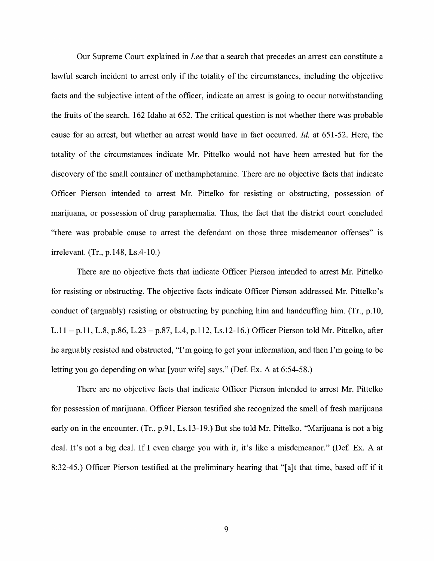Our Supreme Court explained in *Lee* that a search that precedes an arrest can constitute a lawful search incident to arrest only if the totality of the circumstances, including the objective facts and the subjective intent of the officer, indicate an arrest is going to occur notwithstanding the fruits of the search. 162 Idaho at 652. The critical question is not whether there was probable cause for an arrest, but whether an arrest would have in fact occurred. *Id.* at 651-52. Here, the totality of the circumstances indicate Mr. Pittelko would not have been arrested but for the discovery of the small container of methamphetamine. There are no objective facts that indicate Officer Pierson intended to arrest Mr. Pittelko for resisting or obstructing, possession of marijuana, or possession of drug paraphernalia. Thus, the fact that the district court concluded "there was probable cause to arrest the defendant on those three misdemeanor offenses" is irrelevant. (Tr., p.148, Ls.4-10.)

There are no objective facts that indicate Officer Pierson intended to arrest Mr. Pittelko for resisting or obstructing. The objective facts indicate Officer Pierson addressed Mr. Pittelko's conduct of (arguably) resisting or obstructing by punching him and handcuffing him. (Tr., p.10, L.11 - p.11, L.8, p.86, L.23 - p.87, L.4, p.112, Ls.12-16.) Officer Pierson told Mr. Pittelko, after he arguably resisted and obstructed, "I'm going to get your information, and then I'm going to be letting you go depending on what [your wife] says." (Def. Ex. A at 6:54-58.)

There are no objective facts that indicate Officer Pierson intended to arrest Mr. Pittelko for possession of marijuana. Officer Pierson testified she recognized the smell of fresh marijuana early on in the encounter. (Tr., p.91, Ls.13-19.) But she told Mr. Pittelko, "Marijuana is not a big deal. It's not a big deal. If I even charge you with it, it's like a misdemeanor." (Def. Ex. A at 8:32-45.) Officer Pierson testified at the preliminary hearing that "[a]t that time, based off if it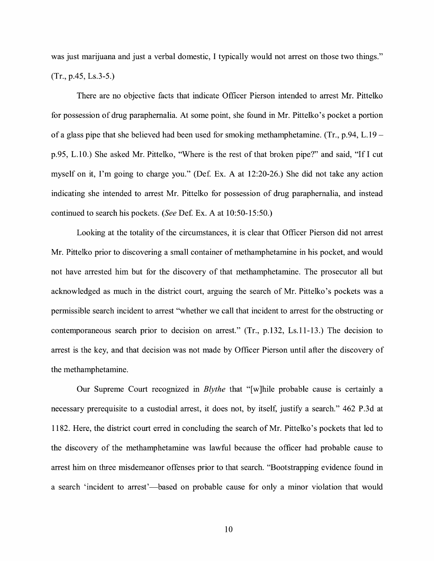was just marijuana and just a verbal domestic, I typically would not arrest on those two things." (Tr., p.45, Ls.3-5.)

There are no objective facts that indicate Officer Pierson intended to arrest Mr. Pittelko for possession of drug paraphernalia. At some point, she found in Mr. Pittelko's pocket a portion of a glass pipe that she believed had been used for smoking methamphetamine. (Tr., p.94, L.19 – p.95, L. 10.) She asked Mr. Pittelko, "Where is the rest of that broken pipe?" and said, "If I cut myself on it, I'm going to charge you." (De£ Ex. A at 12:20-26.) She did not take any action indicating she intended to arrest Mr. Pittelko for possession of drug paraphernalia, and instead continued to search his pockets. *(See* De£ Ex. A at 10:50-15:50.)

Looking at the totality of the circumstances, it is clear that Officer Pierson did not arrest Mr. Pittelko prior to discovering a small container of methamphetamine in his pocket, and would not have arrested him but for the discovery of that methamphetamine. The prosecutor all but acknowledged as much in the district court, arguing the search of Mr. Pittelko's pockets was a permissible search incident to arrest ''whether we call that incident to arrest for the obstructing or contemporaneous search prior to decision on arrest." (Tr., p.132, Ls.11-13.) The decision to arrest is the key, and that decision was not made by Officer Pierson until after the discovery of the methamphetamine.

Our Supreme Court recognized in *Blythe* that "[w]hile probable cause is certainly a necessary prerequisite to a custodial arrest, it does not, by itself, justify a search." 462 P.3d at 1182. Here, the district court erred in concluding the search of Mr. Pittelko's pockets that led to the discovery of the methamphetamine was lawful because the officer had probable cause to arrest him on three misdemeanor offenses prior to that search. "Bootstrapping evidence found in a search 'incident to arrest'—based on probable cause for only a minor violation that would